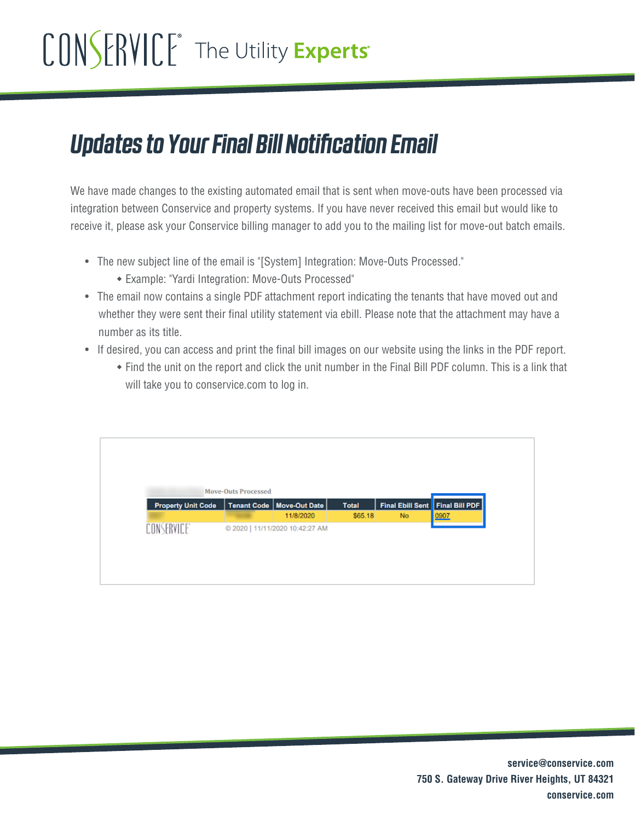## CONSERVICE® The Utility Experts®

## *Updates to Your Final Bill Notification Email*

We have made changes to the existing automated email that is sent when move-outs have been processed via integration between Conservice and property systems. If you have never received this email but would like to receive it, please ask your Conservice billing manager to add you to the mailing list for move-out batch emails.

- The new subject line of the email is "[System] Integration: Move-Outs Processed."
	- Example: "Yardi Integration: Move-Outs Processed"
- The email now contains a single PDF attachment report indicating the tenants that have moved out and whether they were sent their final utility statement via ebill. Please note that the attachment may have a number as its title.
- If desired, you can access and print the final bill images on our website using the links in the PDF report.
	- Find the unit on the report and click the unit number in the Final Bill PDF column. This is a link that will take you to conservice.com to log in.

|                           | <b>Move-Outs Processed</b> |                                 |              |                                 |      |
|---------------------------|----------------------------|---------------------------------|--------------|---------------------------------|------|
| <b>Property Unit Code</b> |                            | Tenant Code   Move-Out Date     | <b>Total</b> | Final Ebill Sent Final Bill PDF |      |
|                           |                            | 11/8/2020                       | \$65.18      | <b>No</b>                       | 0907 |
| CONSERVICE <sup>®</sup>   |                            | @ 2020   11/11/2020 10:42:27 AM |              |                                 |      |